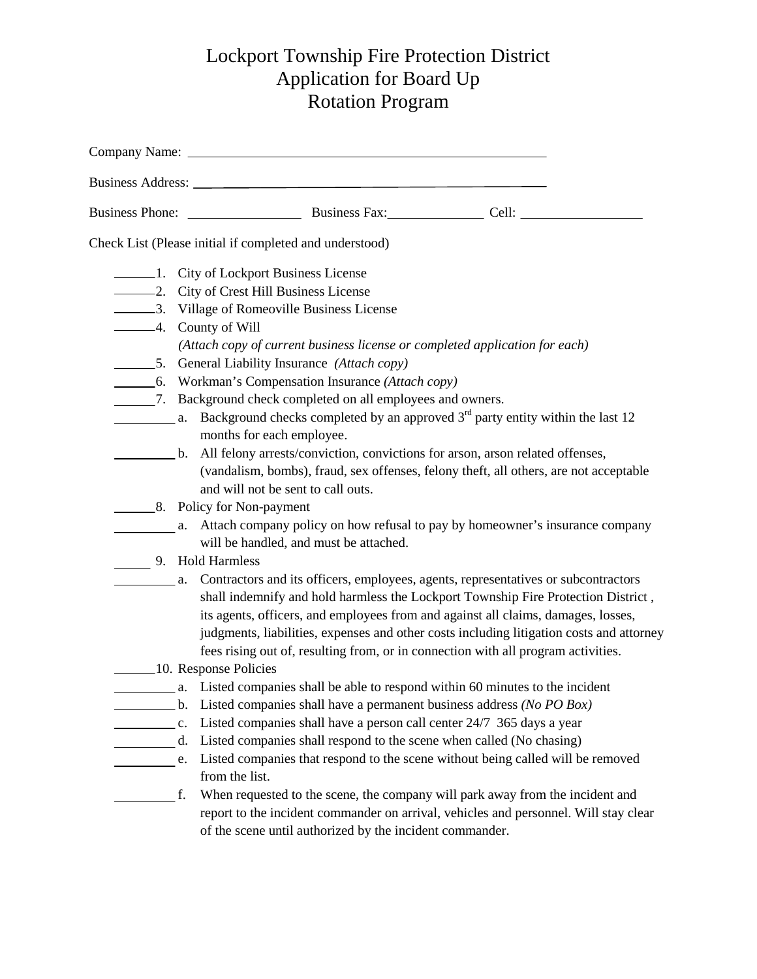## Lockport Township Fire Protection District Application for Board Up Rotation Program

|                | Company Name: 2008 Company Name: 2008 Company Name: 2008 Company Name: 2008 Company Name: 2008 Company Name: 2008 Company Name: 2008 Company Name: 2008 Company Name: 2008 Company Name: 2008 Company Name: 2008 Company Name:                                                                                                                                                                                                                                       |
|----------------|----------------------------------------------------------------------------------------------------------------------------------------------------------------------------------------------------------------------------------------------------------------------------------------------------------------------------------------------------------------------------------------------------------------------------------------------------------------------|
|                |                                                                                                                                                                                                                                                                                                                                                                                                                                                                      |
|                |                                                                                                                                                                                                                                                                                                                                                                                                                                                                      |
|                | Check List (Please initial if completed and understood)                                                                                                                                                                                                                                                                                                                                                                                                              |
|                | 1. City of Lockport Business License<br>-2. City of Crest Hill Business License                                                                                                                                                                                                                                                                                                                                                                                      |
|                | 3. Village of Romeoville Business License<br>-4. County of Will<br>(Attach copy of current business license or completed application for each)                                                                                                                                                                                                                                                                                                                       |
|                | 5. General Liability Insurance (Attach copy)<br>6. Workman's Compensation Insurance (Attach copy)                                                                                                                                                                                                                                                                                                                                                                    |
|                | _________7. Background check completed on all employees and owners.<br><b>Example 12</b> a. Background checks completed by an approved $3rd$ party entity within the last 12<br>months for each employee.                                                                                                                                                                                                                                                            |
|                | b. All felony arrests/conviction, convictions for arson, arson related offenses,<br>(vandalism, bombs), fraud, sex offenses, felony theft, all others, are not acceptable<br>and will not be sent to call outs.                                                                                                                                                                                                                                                      |
|                | 8. Policy for Non-payment<br>a. Attach company policy on how refusal to pay by homeowner's insurance company<br>will be handled, and must be attached.                                                                                                                                                                                                                                                                                                               |
|                | 9. Hold Harmless<br>a. Contractors and its officers, employees, agents, representatives or subcontractors<br>shall indemnify and hold harmless the Lockport Township Fire Protection District,<br>its agents, officers, and employees from and against all claims, damages, losses,<br>judgments, liabilities, expenses and other costs including litigation costs and attorney<br>fees rising out of, resulting from, or in connection with all program activities. |
|                | 10. Response Policies<br>a. Listed companies shall be able to respond within 60 minutes to the incident                                                                                                                                                                                                                                                                                                                                                              |
| $\mathbf{c}$ . | Listed companies shall have a permanent business address (No PO Box)<br>$\mathbf{b}$ .<br>Listed companies shall have a person call center 24/7 365 days a year<br>Listed companies shall respond to the scene when called (No chasing)<br>d.<br>Listed companies that respond to the scene without being called will be removed<br>e.<br>from the list.                                                                                                             |
|                | When requested to the scene, the company will park away from the incident and<br>f.<br>report to the incident commander on arrival, vehicles and personnel. Will stay clear<br>of the scene until authorized by the incident commander.                                                                                                                                                                                                                              |